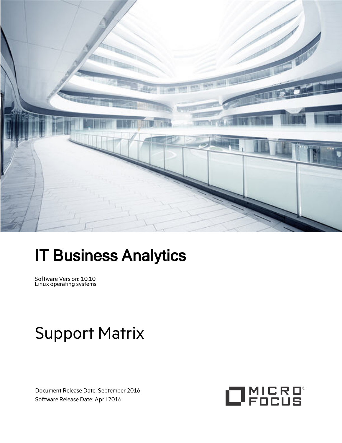

# IT Business Analytics

Software Version: 10.10 Linux operating systems

# Support Matrix

Document Release Date: September 2016 Software Release Date: April 2016

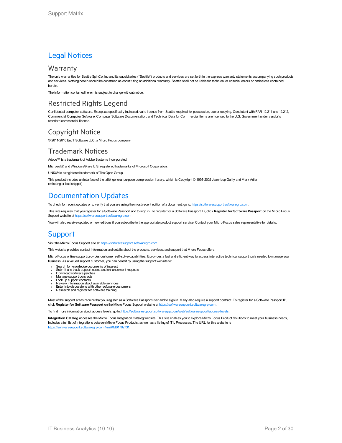### Legal Notices

#### **Warranty**

The only warranties for Seattle SpinCo, Inc and its subsidiaries ("Seattle") products and services are set forth in the express warranty statements accompanying such products and services. Nothing herein should be construed as constituting an additional warranty. Seattle shall not be liable for technical or editorial errors or omissions contained herein.

The information contained herein is subject to change without notice.

### Restricted Rights Legend

Confidential computer software. Except as specifically indicated, valid license from Seattle required for possession, use or copying. Consistent with FAR 12.211 and 12.212, Commercial Computer Software, Computer Software Documentation, and Technical Data for Commercial Items are licensed to the U.S. Government under vendor's standard commercial license.

### Copyright Notice

© 2011-2016 EntIT Software LLC, a Micro Focus company

### Trademark Notices

Adobe™ is a trademark of Adobe Systems Incorporated.

Microsoft® and Windows® are U.S. registered trademarks of Microsoft Corporation.

UNIX® is a registered trademark of The Open Group.

This product includes an interface of the 'zlib' general purpose compression library, which is Copyright © 1995-2002 Jean-loup Gailly and Mark Adler. (missing or bad snippet)

### Documentation Updates

To check for recent updates or to verify that you are using the most recent edition of a document, go to: [https://softwaresupport.softwaregrp.com.](https://softwaresupport.softwaregrp.com/)

This site requires that you register for a Software Passport and to sign in. To register for a Software Passport ID, click **Register for Software Passport** on the Micro Focus Support website at [https://softwaresupport.softwaregrp.com.](https://softwaresupport.softwaregrp.com/)

You will also receive updated or new editions if you subscribe to the appropriate product support service. Contact your Micro Focus sales representative for details.

### **Support**

Visit the Micro Focus Support site at: [https://softwaresupport.softwaregrp.com](https://softwaresupport.softwaregrp.com/).

This website provides contact information and details about the products, services, and support that Micro Focus offers.

Micro Focus online support provides customer self-solve capabilities. It provides a fast and efficient way to access interactive technical support tools needed to manage your business. As a valued support customer, you can benefit by using the support website to:

- Search for knowledge documents of interest
- <sup>l</sup> Submit and track support cases and enhancement requests <sup>l</sup> Download software patches
- Manage support contracts
- 
- 
- <sup>l</sup> Look up support contacts <sup>l</sup> Review information about available services <sup>l</sup> Enter into discussions with other software customers <sup>l</sup> Research and register for software training
- 

Most of the support areas require that you register as a Software Passport user and to sign in. Many also require a support contract. To register for a Software Passport ID, click **Register for Software Passport** on the Micro Focus Support website at [https://softwaresupport.softwaregrp.com](https://softwaresupport.softwaregrp.com/).

To find more information about access levels, go to: [https://softwaresupport.softwaregrp.com/web/softwaresupport/access-levels.](https://softwaresupport.softwaregrp.com/web/softwaresupport/access-levels)

**Integration Catalog** accesses the Micro Focus Integration Catalog website. This site enables you to explore Micro Focus Product Solutions to meet your business needs, includes a full list of Integrations between Micro Focus Products, as well as a listing of ITIL Processes. The URL for this website is [https://softwaresupport.softwaregrp.com/km/KM01702731.](https://softwaresupport.softwaregrp.com/km/KM01702731)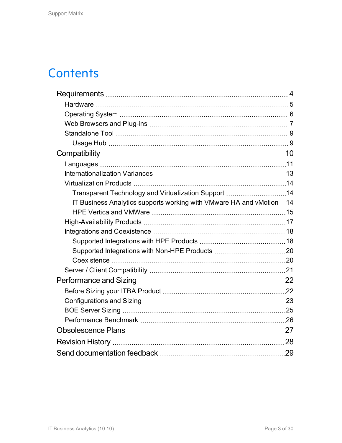### **Contents**

| Transparent Technology and Virtualization Support 14                  |  |
|-----------------------------------------------------------------------|--|
| IT Business Analytics supports working with VMware HA and vMotion  14 |  |
|                                                                       |  |
|                                                                       |  |
|                                                                       |  |
|                                                                       |  |
|                                                                       |  |
|                                                                       |  |
|                                                                       |  |
|                                                                       |  |
|                                                                       |  |
|                                                                       |  |
|                                                                       |  |
|                                                                       |  |
|                                                                       |  |
|                                                                       |  |
|                                                                       |  |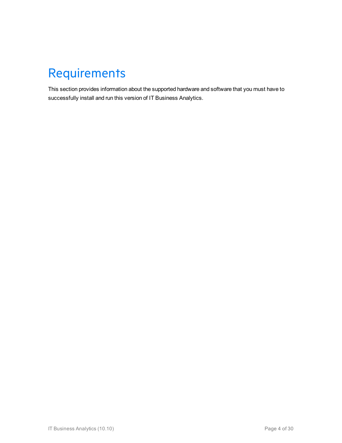## <span id="page-3-0"></span>Requirements

This section provides information about the supported hardware and software that you must have to successfully install and run this version of IT Business Analytics.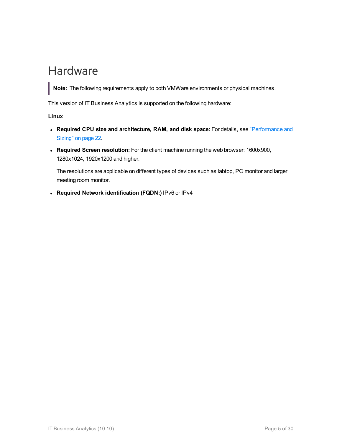### <span id="page-4-0"></span>Hardware

**Note:** The following requirements apply to both VMWare environments or physical machines.

This version of IT Business Analytics is supported on the following hardware:

**Linux**

- <sup>l</sup> **Required CPU size and architecture, RAM, and disk space:** For details, see ["Performance](#page-21-0) and Sizing" on [page 22.](#page-21-0)
- <sup>l</sup> **Required Screen resolution:** For the client machine running the web browser: 1600x900, 1280x1024, 1920x1200 and higher.

The resolutions are applicable on different types of devices such as labtop, PC monitor and larger meeting room monitor.

<sup>l</sup> **Required Network identification (FQDN:)** IPv6 or IPv4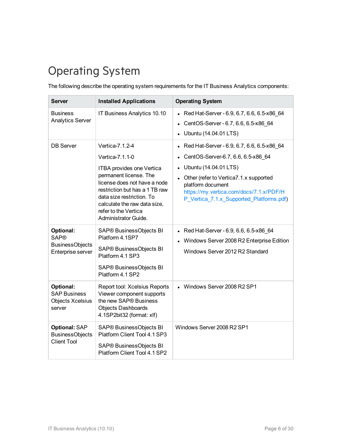### <span id="page-5-0"></span>Operating System

The following describe the operating system requirements for the IT Business Analytics components:

| <b>Server</b>                                                           | <b>Installed Applications</b>                                                                                                                                                                                                                                            | <b>Operating System</b>                                                                                                                                                                                                                                                      |
|-------------------------------------------------------------------------|--------------------------------------------------------------------------------------------------------------------------------------------------------------------------------------------------------------------------------------------------------------------------|------------------------------------------------------------------------------------------------------------------------------------------------------------------------------------------------------------------------------------------------------------------------------|
| <b>Business</b><br><b>Analytics Server</b>                              | IT Business Analytics 10.10                                                                                                                                                                                                                                              | • Red Hat-Server - 6.9, 6.7, 6.6, 6.5-x86 64<br>CentOS-Server - 6.7, 6.6, 6.5-x86 64<br>Ubuntu (14.04.01 LTS)                                                                                                                                                                |
| <b>DB</b> Server                                                        | Vertica-7.1.2-4<br>Vertica-7.1.1-0<br>ITBA provides one Vertica<br>permanent license. The<br>license does not have a node<br>restriction but has a 1 TB raw<br>data size restriction. To<br>calculate the raw data size,<br>refer to the Vertica<br>Administrator Guide. | Red Hat-Server - 6.9, 6.7, 6.6, 6.5-x86_64<br>$\bullet$<br>CentOS-Server-6.7, 6.6, 6.5-x86 64<br>Ubuntu (14.04.01 LTS)<br>Other (refer to Vertica7.1.x supported<br>platform document<br>https://my.vertica.com/docs/7.1.x/PDF/H<br>P_Vertica_7.1.x_Supported_Platforms.pdf) |
| Optional:<br><b>SAP®</b><br><b>BusinessObjects</b><br>Enterprise server | SAP® BusinessObjects BI<br>Platform 4.1SP7<br>SAP® BusinessObjects BI<br>Platform 4.1 SP3<br>SAP® BusinessObjects BI<br>Platform 4.1 SP2                                                                                                                                 | Red Hat-Server - 6.9, 6.6, 6.5-x86 64<br>Windows Server 2008 R2 Enterprise Edition<br>Windows Server 2012 R2 Standard                                                                                                                                                        |
| Optional:<br><b>SAP Business</b><br><b>Objects Xcelsius</b><br>server   | Report tool: Xcelsius Reports<br>Viewer component supports<br>the new SAP® Business<br><b>Objects Dashboards</b><br>4.1SP2bit32 (format: xlf)                                                                                                                            | • Windows Server 2008 R2 SP1                                                                                                                                                                                                                                                 |
| Optional: SAP<br><b>BusinessObjects</b><br><b>Client Tool</b>           | SAP® BusinessObjects BI<br>Platform Client Tool 4.1 SP3<br>SAP® BusinessObjects BI<br>Platform Client Tool 4.1 SP2                                                                                                                                                       | Windows Server 2008 R2 SP1                                                                                                                                                                                                                                                   |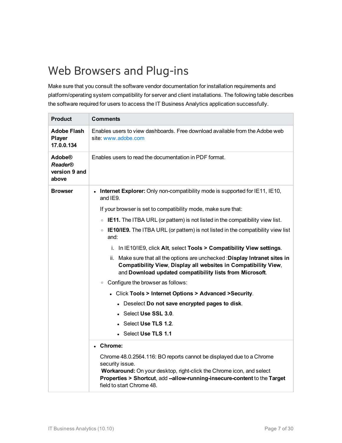### <span id="page-6-0"></span>Web Browsers and Plug-ins

Make sure that you consult the software vendor documentation for installation requirements and platform/operating system compatibility for server and client installations. The following table describes the software required for users to access the IT Business Analytics application successfully.

| <b>Product</b>                                            | <b>Comments</b>                                                                                                                                                                                                                                                                                                                                                                                                                                                                                                                                                                                                                                                                                                                                                                                                                                                                                                                                                                                                                                                                                                                                                                          |  |  |
|-----------------------------------------------------------|------------------------------------------------------------------------------------------------------------------------------------------------------------------------------------------------------------------------------------------------------------------------------------------------------------------------------------------------------------------------------------------------------------------------------------------------------------------------------------------------------------------------------------------------------------------------------------------------------------------------------------------------------------------------------------------------------------------------------------------------------------------------------------------------------------------------------------------------------------------------------------------------------------------------------------------------------------------------------------------------------------------------------------------------------------------------------------------------------------------------------------------------------------------------------------------|--|--|
| <b>Adobe Flash</b><br>Player<br>17.0.0.134                | Enables users to view dashboards. Free download available from the Adobe web<br>site www.adobe.com                                                                                                                                                                                                                                                                                                                                                                                                                                                                                                                                                                                                                                                                                                                                                                                                                                                                                                                                                                                                                                                                                       |  |  |
| <b>Adobe®</b><br><b>Reader®</b><br>version 9 and<br>above | Enables users to read the documentation in PDF format.                                                                                                                                                                                                                                                                                                                                                                                                                                                                                                                                                                                                                                                                                                                                                                                                                                                                                                                                                                                                                                                                                                                                   |  |  |
| <b>Browser</b>                                            | <b>Internet Explorer:</b> Only non-compatibility mode is supported for IE11, IE10,<br>and IE9.<br>If your browser is set to compatibility mode, make sure that:<br>$\circ$ IE11. The ITBA URL (or pattern) is not listed in the compatibility view list.<br>• IE10/IE9. The ITBA URL (or pattern) is not listed in the compatibility view list<br>and:<br>i. In IE10/IE9, click Alt, select Tools > Compatibility View settings.<br>ii. Make sure that all the options are unchecked : Display Intranet sites in<br>Compatibility View, Display all websites in Compatibility View,<br>and Download updated compatibility lists from Microsoft.<br>• Configure the browser as follows:<br>• Click Tools > Internet Options > Advanced > Security.<br>• Deselect Do not save encrypted pages to disk.<br>$\bullet$ Select Use SSL 3.0.<br>$\bullet$ Select Use TLS 1.2.<br>• Select Use TLS 1.1<br>• Chrome:<br>Chrome 48.0.2564.116: BO reports cannot be displayed due to a Chrome<br>security issue.<br>Workaround: On your desktop, right-click the Chrome icon, and select<br>Properties > Shortcut, add --allow-running-insecure-content to the Target<br>field to start Chrome 48. |  |  |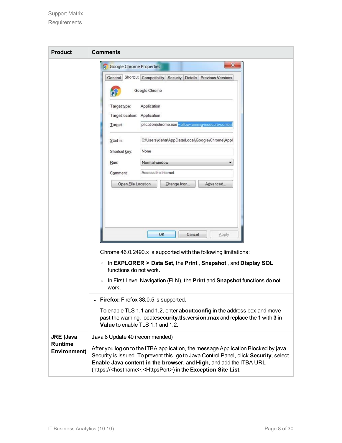| <b>Product</b>                        | <b>Comments</b>                                                                                                                                                                                                                                                                                                                          |  |  |
|---------------------------------------|------------------------------------------------------------------------------------------------------------------------------------------------------------------------------------------------------------------------------------------------------------------------------------------------------------------------------------------|--|--|
|                                       | x<br><b>Google Chrome Properties</b>                                                                                                                                                                                                                                                                                                     |  |  |
|                                       | Shortcut Compatibility<br>Security<br>Details Previous Versions<br>General                                                                                                                                                                                                                                                               |  |  |
|                                       | Google Chrome                                                                                                                                                                                                                                                                                                                            |  |  |
|                                       | Target type:<br>Application<br>Target location: Application<br>plication\chrome.exe-allow-running-insecure-conten<br>Target                                                                                                                                                                                                              |  |  |
|                                       | C:\Users\xiaha\AppData\Local\Google\Chrome\Appl<br>Start in:                                                                                                                                                                                                                                                                             |  |  |
|                                       | None<br>Shortcut key:                                                                                                                                                                                                                                                                                                                    |  |  |
|                                       | Normal window<br>Run:                                                                                                                                                                                                                                                                                                                    |  |  |
|                                       | Access the Internet<br>Comment<br>Open File Location<br>Advanced<br>Change Icon                                                                                                                                                                                                                                                          |  |  |
|                                       |                                                                                                                                                                                                                                                                                                                                          |  |  |
|                                       | OK<br>Cancel<br>Apply                                                                                                                                                                                                                                                                                                                    |  |  |
|                                       | Chrome 46.0.2490.x is supported with the following limitations:                                                                                                                                                                                                                                                                          |  |  |
|                                       | In EXPLORER > Data Set, the Print, Snapshot, and Display SQL<br>$\circ$<br>functions do not work.                                                                                                                                                                                                                                        |  |  |
|                                       | In First Level Navigation (FLN), the Print and Snapshot functions do not<br>$\circ$<br>work.                                                                                                                                                                                                                                             |  |  |
|                                       | • Firefox: Firefox 38.0.5 is supported.                                                                                                                                                                                                                                                                                                  |  |  |
|                                       | To enable TLS 1.1 and 1.2, enter <b>about: config</b> in the address box and move<br>past the warning, locatesecurity.tls.version.max and replace the 1 with 3 in<br>Value to enable TLS 1.1 and 1.2.                                                                                                                                    |  |  |
| <b>JRE</b> (Java                      | Java 8 Update 40 (recommended)                                                                                                                                                                                                                                                                                                           |  |  |
| <b>Runtime</b><br><b>Environment)</b> | After you log on to the ITBA application, the message Application Blocked by java<br>Security is issued. To prevent this, go to Java Control Panel, click Security, select<br>Enable Java content in the browser, and High, and add the ITBA URL<br>(https:// <hostname>:<httpsport>) in the Exception Site List.</httpsport></hostname> |  |  |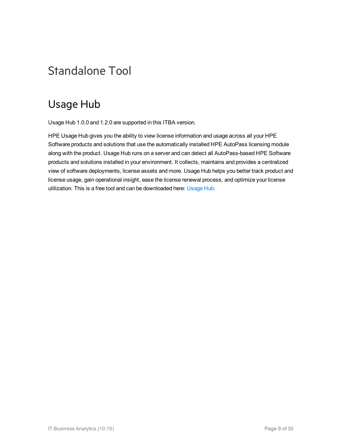### <span id="page-8-1"></span><span id="page-8-0"></span>Standalone Tool

### Usage Hub

Usage Hub 1.0.0 and 1.2.0 are supported in this ITBA version.

HPE Usage Hub gives you the ability to view license information and usage across all your HPE Software products and solutions that use the automatically installed HPE AutoPass licensing module along with the product. Usage Hub runs on a server and can detect all AutoPass-based HPE Software products and solutions installed in your environment. It collects, maintains and provides a centralized view of software deployments, license assets and more. Usage Hub helps you better track product and license usage, gain operational insight, ease the license renewal process, and optimize your license utilization. This is a free tool and can be downloaded here: [Usage](https://hpln.hp.com/contentoffering/usage-tracking) Hub.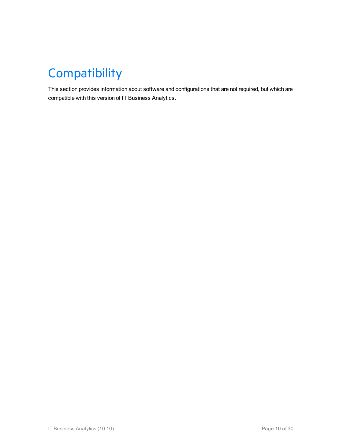## <span id="page-9-0"></span>**Compatibility**

This section provides information about software and configurations that are not required, but which are compatible with this version of IT Business Analytics.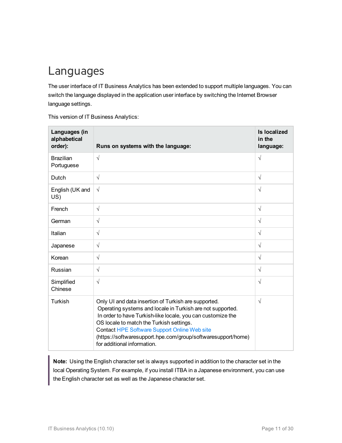### <span id="page-10-0"></span>Languages

The user interface of IT Business Analytics has been extended to support multiple languages. You can switch the language displayed in the application user interface by switching the Internet Browser language settings.

This version of IT Business Analytics:

| Languages (in<br>alphabetical<br>order): | Runs on systems with the language:                                                                                                                                                                                                                                                                                                                                                  | <b>Is localized</b><br>in the<br>language: |
|------------------------------------------|-------------------------------------------------------------------------------------------------------------------------------------------------------------------------------------------------------------------------------------------------------------------------------------------------------------------------------------------------------------------------------------|--------------------------------------------|
| <b>Brazilian</b><br>Portuguese           | $\sqrt{ }$                                                                                                                                                                                                                                                                                                                                                                          | $\sqrt{2}$                                 |
| Dutch                                    | $\sqrt{ }$                                                                                                                                                                                                                                                                                                                                                                          | $\sqrt{ }$                                 |
| English (UK and<br>US)                   | $\sqrt{ }$                                                                                                                                                                                                                                                                                                                                                                          | $\sqrt{}$                                  |
| French                                   | $\sqrt{ }$                                                                                                                                                                                                                                                                                                                                                                          | $\sqrt{ }$                                 |
| German                                   | $\sqrt{ }$                                                                                                                                                                                                                                                                                                                                                                          | $\sqrt{ }$                                 |
| Italian                                  | $\sqrt{ }$                                                                                                                                                                                                                                                                                                                                                                          | $\sqrt{ }$                                 |
| Japanese                                 | $\sqrt{ }$                                                                                                                                                                                                                                                                                                                                                                          | $\sqrt{ }$                                 |
| Korean                                   | $\sqrt{ }$                                                                                                                                                                                                                                                                                                                                                                          | $\sqrt{ }$                                 |
| Russian                                  | $\sqrt{ }$                                                                                                                                                                                                                                                                                                                                                                          | $\sqrt{ }$                                 |
| Simplified<br>Chinese                    | $\sqrt{ }$                                                                                                                                                                                                                                                                                                                                                                          | $\sqrt{ }$                                 |
| Turkish                                  | Only UI and data insertion of Turkish are supported.<br>Operating systems and locale in Turkish are not supported.<br>In order to have Turkish-like locale, you can customize the<br>OS locale to match the Turkish settings.<br><b>Contact HPE Software Support Online Web site</b><br>(https://softwaresupport.hpe.com/group/softwaresupport/home)<br>for additional information. | $\sqrt{ }$                                 |

**Note:** Using the English character set is always supported in addition to the character set in the local Operating System. For example, if you install ITBA in a Japanese environment, you can use the English character set as well as the Japanese character set.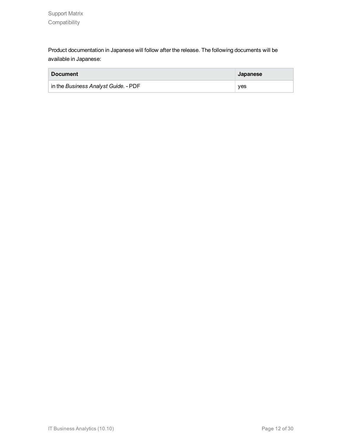Product documentation in Japanese will follow after the release. The following documents will be available in Japanese:

| <b>Document</b>                      | Japanese |
|--------------------------------------|----------|
| in the Business Analyst Guide. - PDF | ves      |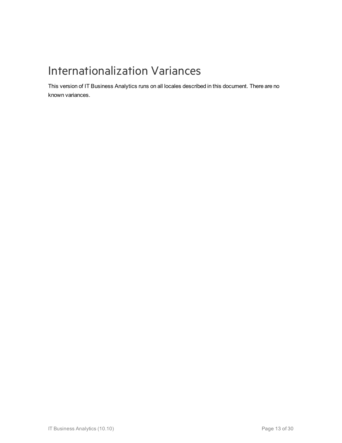### <span id="page-12-0"></span>Internationalization Variances

This version of IT Business Analytics runs on all locales described in this document. There are no known variances.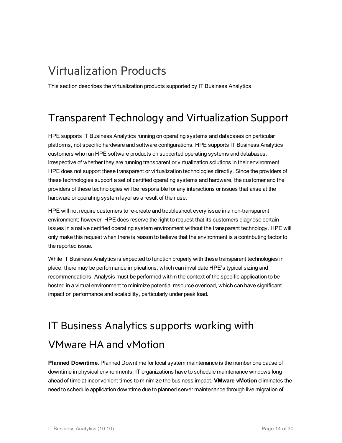### <span id="page-13-0"></span>Virtualization Products

<span id="page-13-1"></span>This section describes the virtualization products supported by IT Business Analytics.

### Transparent Technology and Virtualization Support

HPE supports IT Business Analytics running on operating systems and databases on particular platforms, not specific hardware and software configurations. HPE supports IT Business Analytics customers who run HPE software products on supported operating systems and databases, irrespective of whether they are running transparent or virtualization solutions in their environment. HPE does not support these transparent or virtualization technologies directly. Since the providers of these technologies support a set of certified operating systems and hardware, the customer and the providers of these technologies will be responsible for any interactions or issues that arise at the hardware or operating system layer as a result of their use.

HPE will not require customers to re-create and troubleshoot every issue in a non-transparent environment; however, HPE does reserve the right to request that its customers diagnose certain issues in a native certified operating system environment without the transparent technology. HPE will only make this request when there is reason to believe that the environment is a contributing factor to the reported issue.

While IT Business Analytics is expected to function properly with these transparent technologies in place, there may be performance implications, which can invalidate HPE's typical sizing and recommendations. Analysis must be performed within the context of the specific application to be hosted in a virtual environment to minimize potential resource overload, which can have significant impact on performance and scalability, particularly under peak load.

## <span id="page-13-2"></span>IT Business Analytics supports working with VMware HA and vMotion

**Planned Downtime.** Planned Downtime for local system maintenance is the number one cause of downtime in physical environments. IT organizations have to schedule maintenance windows long ahead of time at inconvenient times to minimize the business impact. **VMware vMotion** eliminates the need to schedule application downtime due to planned server maintenance through live migration of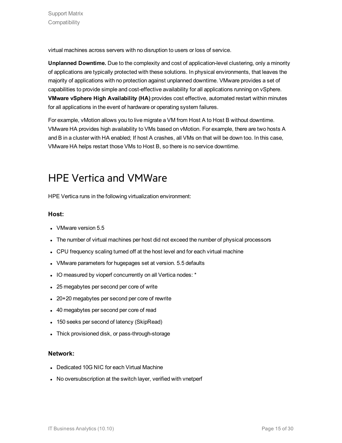virtual machines across servers with no disruption to users or loss of service.

**Unplanned Downtime.** Due to the complexity and cost of application-level clustering, only a minority of applications are typically protected with these solutions. In physical environments, that leaves the majority of applications with no protection against unplanned downtime. VMware provides a set of capabilities to provide simple and cost-effective availability for all applications running on vSphere. **VMware vSphere High Availability (HA)** provides cost effective, automated restart within minutes for all applications in the event of hardware or operating system failures.

For example, vMotion allows you to live migrate a VM from Host A to Host B without downtime. VMware HA provides high availability to VMs based on vMotion. For example, there are two hosts A and B in a cluster with HA enabled; If host A crashes, all VMs on that will be down too. In this case, VMware HA helps restart those VMs to Host B, so there is no service downtime.

### <span id="page-14-0"></span>HPE Vertica and VMWare

HPE Vertica runs in the following virtualization environment:

#### **Host:**

- VMware version 5.5
- The number of virtual machines per host did not exceed the number of physical processors
- CPU frequency scaling turned off at the host level and for each virtual machine
- VMware parameters for hugepages set at version. 5.5 defaults
- IO measured by vioperf concurrently on all Vertica nodes: \*
- 25 megabytes per second per core of write
- 20+20 megabytes per second per core of rewrite
- 40 megabytes per second per core of read
- 150 seeks per second of latency (SkipRead)
- Thick provisioned disk, or pass-through-storage

#### **Network:**

- Dedicated 10G NIC for each Virtual Machine
- No oversubscription at the switch layer, verified with vnetperf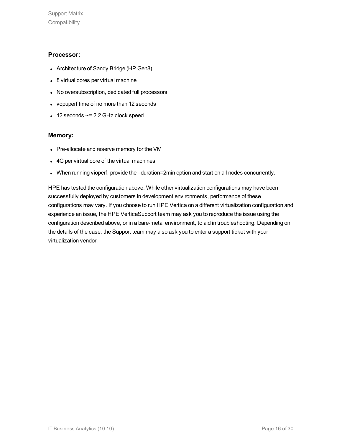#### **Processor:**

- Architecture of Sandy Bridge (HP Gen8)
- 8 virtual cores per virtual machine
- No oversubscription, dedicated full processors
- vcpuperf time of no more than 12 seconds
- $\cdot$  12 seconds  $\sim$  = 2.2 GHz clock speed

#### **Memory:**

- Pre-allocate and reserve memory for the VM
- 4G per virtual core of the virtual machines
- When running vioperf, provide the -duration=2min option and start on all nodes concurrently.

HPE has tested the configuration above. While other virtualization configurations may have been successfully deployed by customers in development environments, performance of these configurations may vary. If you choose to run HPE Vertica on a different virtualization configuration and experience an issue, the HPE VerticaSupport team may ask you to reproduce the issue using the configuration described above, or in a bare-metal environment, to aid in troubleshooting. Depending on the details of the case, the Support team may also ask you to enter a support ticket with your virtualization vendor.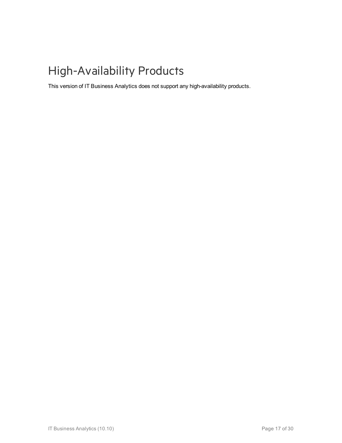## <span id="page-16-0"></span>High-Availability Products

This version of IT Business Analytics does not support any high-availability products.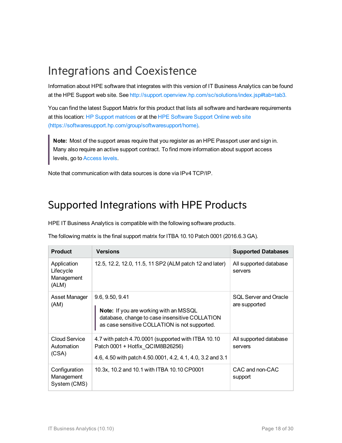### <span id="page-17-0"></span>Integrations and Coexistence

Information about HPE software that integrates with this version of IT Business Analytics can be found at the HPE Support web site. See [http://support.openview.hp.com/sc/solutions/index.jsp#tab=tab3.](http://support.openview.hp.com/sc/solutions/index.jsp#tab=tab3)

You can find the latest Support Matrix for this product that lists all software and hardware requirements at this location: HP Support [matrices](http://h20230.www2.hp.com/sc/support_matrices.jsp) or at the HPE [Software](https://softwaresupport.hp.com/group/softwaresupport/home) Support Online web site [\(https://softwaresupport.hp.com/group/softwaresupport/home\).](http://h20230.www2.hp.com/selfsolve/manuals)

**Note:** Most of the support areas require that you register as an HPE Passport user and sign in. Many also require an active support contract. To find more information about support access levels, go to [Access](http://support.openview.hp.com/access_level.jsp) levels.

<span id="page-17-1"></span>Note that communication with data sources is done via IPv4 TCP/IP.

### Supported Integrations with HPE Products

HPE IT Business Analytics is compatible with the following software products.

The following matrix is the final support matrix for ITBA 10.10 Patch 0001 (2016.6.3 GA).

| <b>Product</b>                                  | <b>Versions</b>                                                                                                                                              | <b>Supported Databases</b>                    |
|-------------------------------------------------|--------------------------------------------------------------------------------------------------------------------------------------------------------------|-----------------------------------------------|
| Application<br>Lifecycle<br>Management<br>(ALM) | 12.5, 12.2, 12.0, 11.5, 11 SP2 (ALM patch 12 and later)                                                                                                      | All supported database<br>servers             |
| Asset Manager<br>(AM)                           | 9.6, 9.50, 9.41<br>Note: If you are working with an MSSQL<br>database, change to case insensitive COLLATION<br>as case sensitive COLLATION is not supported. | <b>SQL Server and Oracle</b><br>are supported |
| Cloud Service<br>Automation<br>(CSA)            | 4.7 with patch 4.70.0001 (supported with ITBA 10.10<br>Patch 0001 + Hotfix QCIM8B26256)<br>4.6, 4.50 with patch 4.50.0001, 4.2, 4.1, 4.0, 3.2 and 3.1        | All supported database<br>servers             |
| Configuration<br>Management<br>System (CMS)     | 10.3x, 10.2 and 10.1 with ITBA 10.10 CP0001                                                                                                                  | CAC and non-CAC<br>support                    |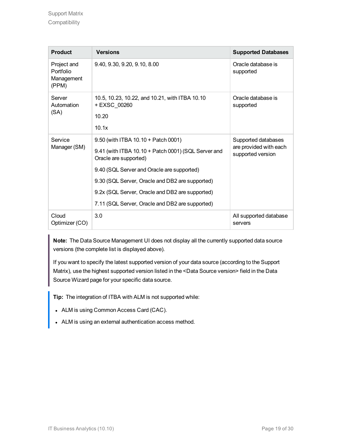| <b>Product</b>                                  | <b>Versions</b>                                                                                                                                                                                                                                                                                                            | <b>Supported Databases</b>                                         |
|-------------------------------------------------|----------------------------------------------------------------------------------------------------------------------------------------------------------------------------------------------------------------------------------------------------------------------------------------------------------------------------|--------------------------------------------------------------------|
| Project and<br>Portfolio<br>Management<br>(PPM) | 9.40, 9.30, 9.20, 9.10, 8.00                                                                                                                                                                                                                                                                                               | Oracle database is<br>supported                                    |
| Server<br>Automation<br>(SA)                    | 10.5, 10.23, 10.22, and 10.21, with ITBA 10.10<br>+ EXSC 00260<br>10.20<br>10.1x                                                                                                                                                                                                                                           | Oracle database is<br>supported                                    |
| Service<br>Manager (SM)                         | 9.50 (with ITBA 10.10 + Patch 0001)<br>9.41 (with ITBA 10.10 + Patch 0001) (SQL Server and<br>Oracle are supported)<br>9.40 (SQL Server and Oracle are supported)<br>9.30 (SQL Server, Oracle and DB2 are supported)<br>9.2x (SQL Server, Oracle and DB2 are supported)<br>7.11 (SQL Server, Oracle and DB2 are supported) | Supported databases<br>are provided with each<br>supported version |
| Cloud<br>Optimizer (CO)                         | 3.0                                                                                                                                                                                                                                                                                                                        | All supported database<br>servers                                  |

**Note:** The Data Source Management UI does not display all the currently supported data source versions (the complete list is displayed above).

If you want to specify the latest supported version of your data source (according to the Support Matrix), use the highest supported version listed in the <Data Source version> field in the Data Source Wizard page for your specific data source.

**Tip:** The integration of ITBA with ALM is not supported while:

- ALM is using Common Access Card (CAC).
- ALM is using an external authentication access method.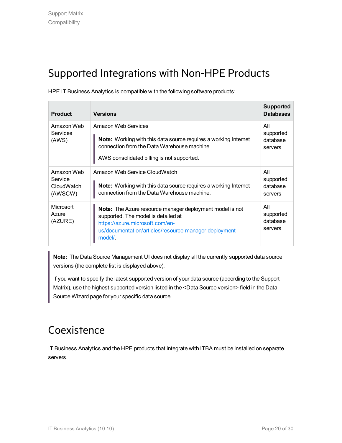### <span id="page-19-0"></span>Supported Integrations with Non-HPE Products

HPE IT Business Analytics is compatible with the following software products:

| <b>Product</b>                                 | <b>Versions</b>                                                                                                                                                                                                | <b>Supported</b><br><b>Databases</b>    |
|------------------------------------------------|----------------------------------------------------------------------------------------------------------------------------------------------------------------------------------------------------------------|-----------------------------------------|
| Amazon Web<br>Services<br>(AWS)                | Amazon Web Services<br><b>Note:</b> Working with this data source requires a working Internet<br>connection from the Data Warehouse machine.<br>AWS consolidated billing is not supported.                     | All<br>supported<br>database<br>servers |
| Amazon Web<br>Service<br>CloudWatch<br>(AWSCW) | Amazon Web Service CloudWatch<br><b>Note:</b> Working with this data source requires a working Internet<br>connection from the Data Warehouse machine.                                                         | All<br>supported<br>database<br>servers |
| <b>Microsoft</b><br>Azure<br>(AZURE)           | <b>Note:</b> The Azure resource manager deployment model is not<br>supported. The model is detailed at<br>https://azure.microsoft.com/en-<br>us/documentation/articles/resource-manager-deployment-<br>model/. | All<br>supported<br>database<br>servers |

**Note:** The Data Source Management UI does not display all the currently supported data source versions (the complete list is displayed above).

If you want to specify the latest supported version of your data source (according to the Support Matrix), use the highest supported version listed in the <Data Source version> field in the Data Source Wizard page for your specific data source.

### <span id="page-19-1"></span>Coexistence

IT Business Analytics and the HPE products that integrate with ITBA must be installed on separate servers.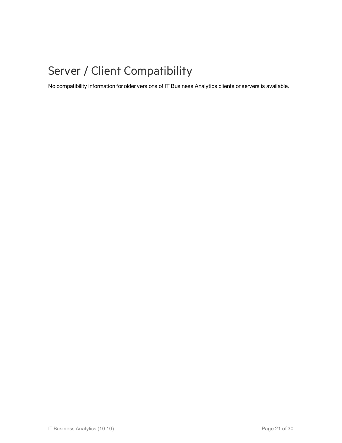### <span id="page-20-0"></span>Server / Client Compatibility

No compatibility information for older versions of IT Business Analytics clients or servers is available.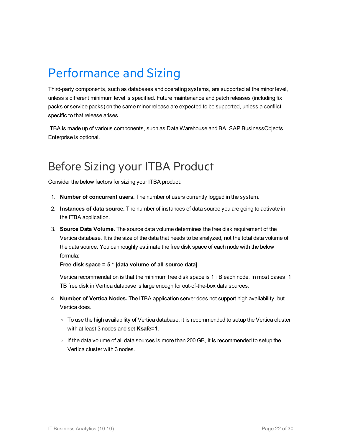## <span id="page-21-0"></span>Performance and Sizing

Third-party components, such as databases and operating systems, are supported at the minor level, unless a different minimum level is specified. Future maintenance and patch releases (including fix packs or service packs) on the same minor release are expected to be supported, unless a conflict specific to that release arises.

ITBA is made up of various components, such as Data Warehouse and BA. SAP BusinessObjects Enterprise is optional.

### <span id="page-21-1"></span>Before Sizing your ITBA Product

Consider the below factors for sizing your ITBA product:

- 1. **Number of concurrent users.** The number of users currently logged in the system.
- 2. **Instances of data source.** The number of instances of data source you are going to activate in the ITBA application.
- 3. **Source Data Volume.** The source data volume determines the free disk requirement of the Vertica database. It is the size of the data that needs to be analyzed, not the total data volume of the data source. You can roughly estimate the free disk space of each node with the below formula:

#### **Free disk space = 5 \* [data volume of all source data]**

Vertica recommendation is that the minimum free disk space is 1 TB each node. In most cases, 1 TB free disk in Vertica database is large enough for out-of-the-box data sources.

- 4. **Number of Vertica Nodes.** The ITBA application server does not support high availability, but Vertica does.
	- $\circ$  To use the high availability of Vertica database, it is recommended to setup the Vertica cluster with at least 3 nodes and set **Ksafe=1**.
	- o If the data volume of all data sources is more than 200 GB, it is recommended to setup the Vertica cluster with 3 nodes.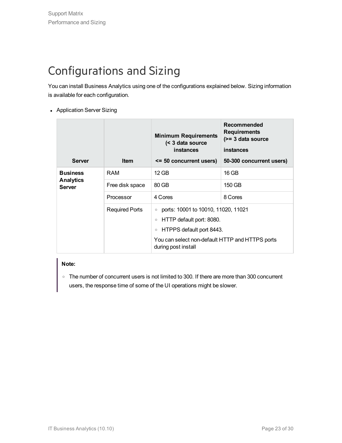### <span id="page-22-0"></span>Configurations and Sizing

You can install Business Analytics using one of the configurations explained below. Sizing information is available for each configuration.

• Application Server Sizing

| <b>Server</b>                                        | <b>Item</b>           | <b>Minimum Requirements</b><br>< 3 data source<br>instances<br><= 50 concurrent users) | Recommended<br><b>Requirements</b><br>$(>= 3$ data source<br>instances<br>50-300 concurrent users) |
|------------------------------------------------------|-----------------------|----------------------------------------------------------------------------------------|----------------------------------------------------------------------------------------------------|
| <b>Business</b><br><b>Analytics</b><br><b>Server</b> | RAM                   | 12 GB                                                                                  | 16 GB                                                                                              |
|                                                      | Free disk space       | 80 GB                                                                                  | 150 GB                                                                                             |
|                                                      | Processor             | 4 Cores                                                                                | 8 Cores                                                                                            |
|                                                      | <b>Required Ports</b> | ports: 10001 to 10010, 11020, 11021<br>$\circ$<br>HTTP default port: 8080.<br>$\circ$  |                                                                                                    |
|                                                      |                       |                                                                                        |                                                                                                    |
|                                                      |                       | HTPPS default port 8443.<br>$\circ$                                                    |                                                                                                    |
|                                                      |                       | You can select non-default HTTP and HTTPS ports<br>during post install                 |                                                                                                    |

#### **Note:**

o The number of concurrent users is not limited to 300. If there are more than 300 concurrent users, the response time of some of the UI operations might be slower.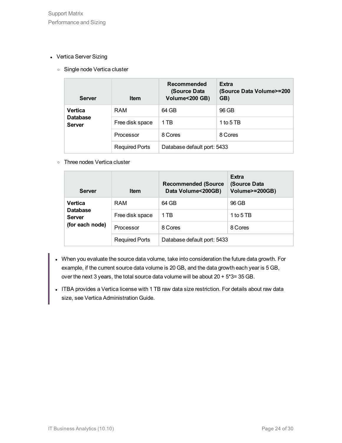- Vertica Server Sizing
	- <sup>o</sup> Single node Vertica cluster

| <b>Server</b>                                      | <b>Item</b>           | Recommended<br>(Source Data<br>Volume<200 GB) | <b>Extra</b><br>(Source Data Volume>=200<br>GB) |
|----------------------------------------------------|-----------------------|-----------------------------------------------|-------------------------------------------------|
| <b>Vertica</b><br><b>Database</b><br><b>Server</b> | RAM                   | 64 GB                                         | 96 GB                                           |
|                                                    | Free disk space       | 1 TB                                          | 1 to 5 TB                                       |
|                                                    | Processor             | 8 Cores                                       | 8 Cores                                         |
|                                                    | <b>Required Ports</b> | Database default port: 5433                   |                                                 |

<sup>o</sup> Three nodes Vertica cluster

| <b>Server</b>                                                         | <b>Item</b>           | <b>Recommended (Source</b><br>Data Volume<200GB) | <b>Extra</b><br>(Source Data<br>Volume>=200GB) |
|-----------------------------------------------------------------------|-----------------------|--------------------------------------------------|------------------------------------------------|
| <b>Vertica</b><br><b>Database</b><br><b>Server</b><br>(for each node) | RAM                   | 64 GB                                            | 96 GB                                          |
|                                                                       | Free disk space       | 1 TB                                             | 1 to 5 TB                                      |
|                                                                       | Processor             | 8 Cores                                          | 8 Cores                                        |
|                                                                       | <b>Required Ports</b> | Database default port: 5433                      |                                                |

- When you evaluate the source data volume, take into consideration the future data growth. For example, if the current source data volume is 20 GB, and the data growth each year is 5 GB, over the next 3 years, the total source data volume will be about 20 + 5\*3= 35 GB.
- <sup>l</sup> ITBA provides a Vertica license with 1 TB raw data size restriction. For details about raw data size, see Vertica Administration Guide.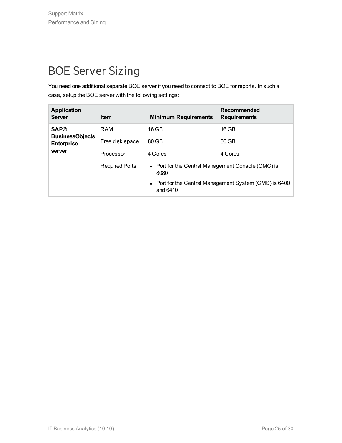### <span id="page-24-0"></span>BOE Server Sizing

You need one additional separate BOE server if you need to connect to BOE for reports. In such a case, setup the BOE server with the following settings:

| <b>Application</b><br><b>Server</b>                                  | <b>Item</b>           | <b>Minimum Requirements</b>                                        | Recommended<br><b>Requirements</b> |
|----------------------------------------------------------------------|-----------------------|--------------------------------------------------------------------|------------------------------------|
| <b>SAP®</b><br><b>BusinessObjects</b><br><b>Enterprise</b><br>server | RAM                   | $16$ GB                                                            | 16 GB                              |
|                                                                      | Free disk space       | 80 GB                                                              | 80 GB                              |
|                                                                      | Processor             | 4 Cores                                                            | 4 Cores                            |
|                                                                      | <b>Required Ports</b> | • Port for the Central Management Console (CMC) is<br>8080         |                                    |
|                                                                      |                       | • Port for the Central Management System (CMS) is 6400<br>and 6410 |                                    |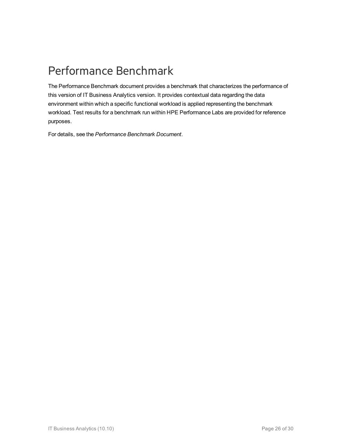### <span id="page-25-0"></span>Performance Benchmark

The Performance Benchmark document provides a benchmark that characterizes the performance of this version of IT Business Analytics version. It provides contextual data regarding the data environment within which a specific functional workload is applied representing the benchmark workload. Test results for a benchmark run within HPE Performance Labs are provided for reference purposes.

For details, see the *Performance Benchmark Document*.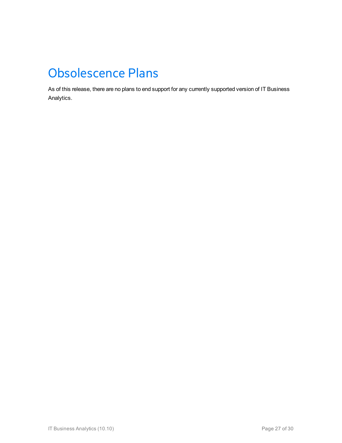## <span id="page-26-0"></span>Obsolescence Plans

As of this release, there are no plans to end support for any currently supported version of IT Business Analytics.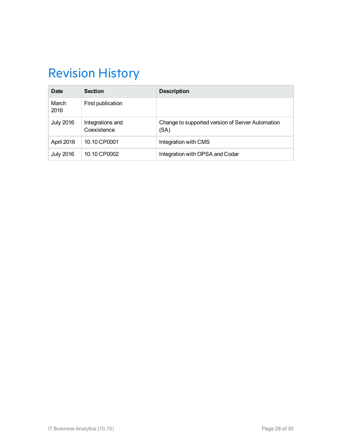## <span id="page-27-0"></span>Revision History

| Date             | <b>Section</b>                  | <b>Description</b>                                       |
|------------------|---------------------------------|----------------------------------------------------------|
| March<br>2016    | First publication               |                                                          |
| <b>July 2016</b> | Integrations and<br>Coexistence | Change to supported version of Server Automation<br>(SA) |
| April 2016       | 10.10 CP0001                    | Integration with CMS                                     |
| <b>July 2016</b> | 10.10 CP0002                    | Integration with OPSA and Codar                          |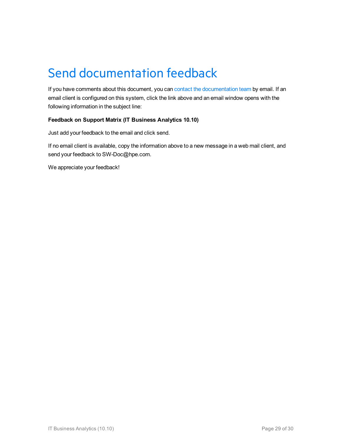## <span id="page-28-0"></span>Send documentation feedback

If you have comments about this document, you can contact the [documentation](mailto:SW-Doc@hpe.com?subject=Feedback on Support Matrix (IT Business Analytics 10.10)) team by email. If an email client is configured on this system, click the link above and an email window opens with the following information in the subject line:

#### **Feedback on Support Matrix (IT Business Analytics 10.10)**

Just add your feedback to the email and click send.

If no email client is available, copy the information above to a new message in a web mail client, and send your feedback to SW-Doc@hpe.com.

We appreciate your feedback!